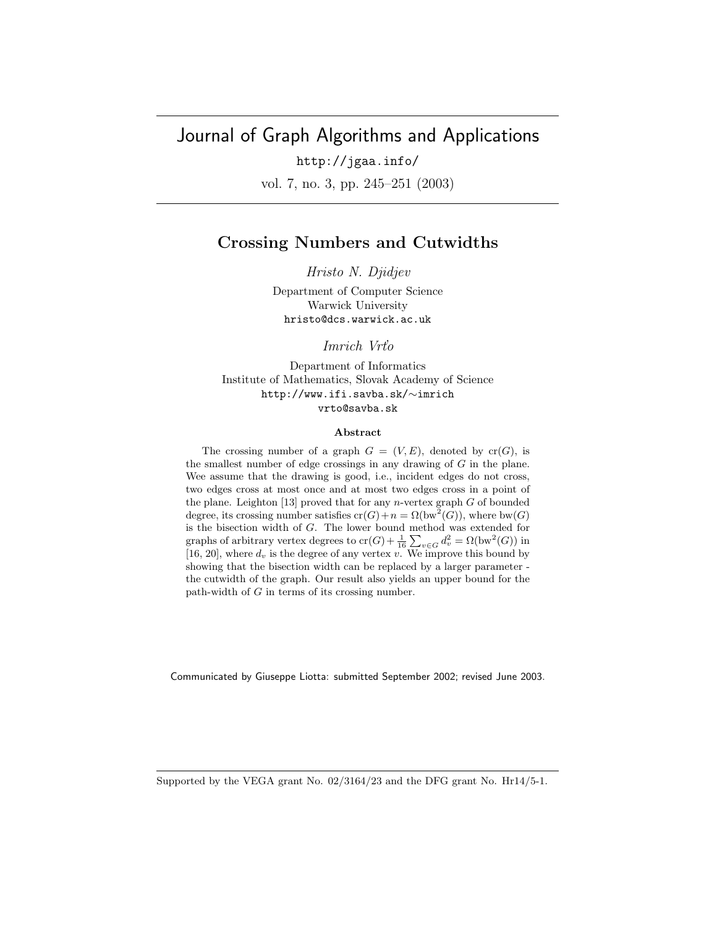# Journal of Graph Algorithms and Applications

http://jgaa.info/ vol. 7, no. 3, pp. 245–251 (2003)

# **Crossing Numbers and Cutwidths**

*Hristo N. Djidjev*

Department of Computer Science Warwick University hristo@dcs.warwick.ac.uk

*Imrich Vrt'o*

Department of Informatics Institute of Mathematics, Slovak Academy of Science http://www.ifi.savba.sk/∼imrich vrto@savba.sk

#### **Abstract**

The crossing number of a graph  $G = (V, E)$ , denoted by  $cr(G)$ , is the smallest number of edge crossings in any drawing of *G* in the plane. Wee assume that the drawing is good, i.e., incident edges do not cross, two edges cross at most once and at most two edges cross in a point of the plane. Leighton [13] proved that for any *n*-vertex graph *G* of bounded degree, its crossing number satisfies  $cr(G)+n = \Omega(bw^2(G))$ , where bw(*G*) is the bisection width of *G*. The lower bound method was extended for graphs of arbitrary vertex degrees to  $\text{cr}(G) + \frac{1}{16} \sum_{\mathbf{v} \in G} d_v^2 = \Omega(\text{bw}^2(G))$  in [16, 20], where  $d_v$  is the degree of any vertex  $v$ . We improve this bound by showing that the bisection width can be replaced by a larger parameter the cutwidth of the graph. Our result also yields an upper bound for the path-width of *G* in terms of its crossing number.

Communicated by Giuseppe Liotta: submitted September 2002; revised June 2003.

Supported by the VEGA grant No. 02/3164/23 and the DFG grant No. Hr14/5-1.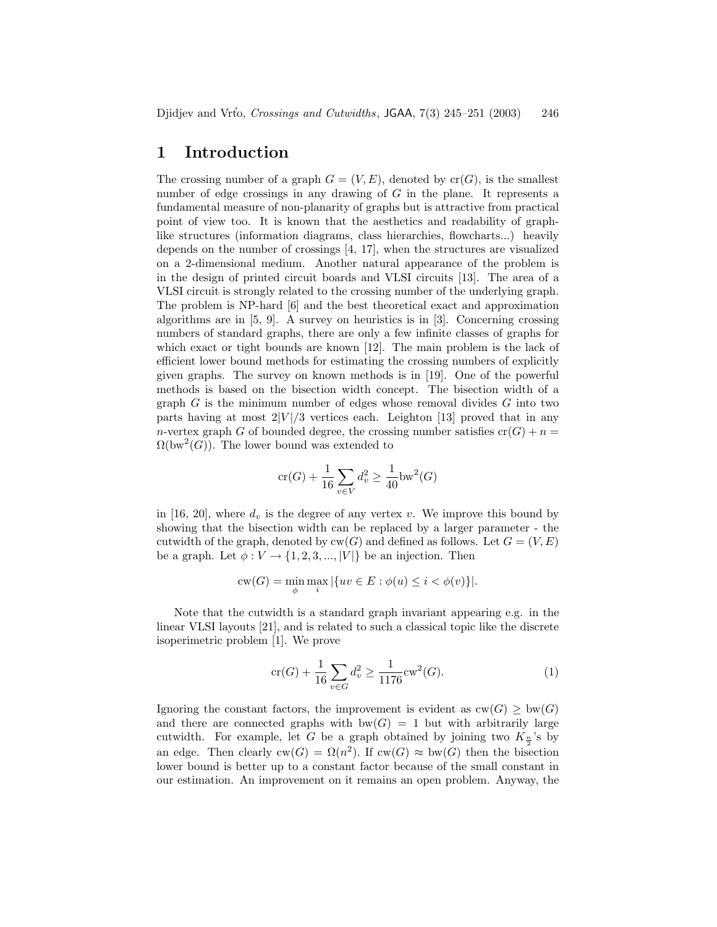# **1 Introduction**

The crossing number of a graph  $G = (V, E)$ , denoted by  $cr(G)$ , is the smallest number of edge crossings in any drawing of G in the plane. It represents a fundamental measure of non-planarity of graphs but is attractive from practical point of view too. It is known that the aesthetics and readability of graphlike structures (information diagrams, class hierarchies, flowcharts...) heavily depends on the number of crossings [4, 17], when the structures are visualized on a 2-dimensional medium. Another natural appearance of the problem is in the design of printed circuit boards and VLSI circuits [13]. The area of a VLSI circuit is strongly related to the crossing number of the underlying graph. The problem is NP-hard [6] and the best theoretical exact and approximation algorithms are in [5, 9]. A survey on heuristics is in [3]. Concerning crossing numbers of standard graphs, there are only a few infinite classes of graphs for which exact or tight bounds are known [12]. The main problem is the lack of efficient lower bound methods for estimating the crossing numbers of explicitly given graphs. The survey on known methods is in [19]. One of the powerful methods is based on the bisection width concept. The bisection width of a graph  $G$  is the minimum number of edges whose removal divides  $G$  into two parts having at most  $2|V|/3$  vertices each. Leighton [13] proved that in any n-vertex graph G of bounded degree, the crossing number satisfies  $cr(G) + n =$  $\Omega(\text{bw}^2(G))$ . The lower bound was extended to

$$
\text{cr}(G) + \frac{1}{16} \sum_{v \in V} d_v^2 \ge \frac{1}{40} \text{bw}^2(G)
$$

in [16, 20], where  $d_v$  is the degree of any vertex v. We improve this bound by showing that the bisection width can be replaced by a larger parameter - the cutwidth of the graph, denoted by  $cw(G)$  and defined as follows. Let  $G = (V, E)$ be a graph. Let  $\phi: V \to \{1, 2, 3, ..., |V|\}$  be an injection. Then

$$
\text{cw}(G) = \min_{\phi} \max_i |\{uv \in E : \phi(u) \leq i < \phi(v)\}|.
$$

Note that the cutwidth is a standard graph invariant appearing e.g. in the linear VLSI layouts [21], and is related to such a classical topic like the discrete isoperimetric problem [1]. We prove

$$
\operatorname{cr}(G) + \frac{1}{16} \sum_{v \in G} d_v^2 \ge \frac{1}{1176} \operatorname{cw}^2(G). \tag{1}
$$

Ignoring the constant factors, the improvement is evident as  $cw(G) \geq bw(G)$ and there are connected graphs with  $bw(G) = 1$  but with arbitrarily large cutwidth. For example, let G be a graph obtained by joining two  $K_{\frac{n}{2}}$ 's by an edge. Then clearly  $cw(G) = \Omega(n^2)$ . If  $cw(G) \approx bw(G)$  then the bisection lower bound is better up to a constant factor because of the small constant in our estimation. An improvement on it remains an open problem. Anyway, the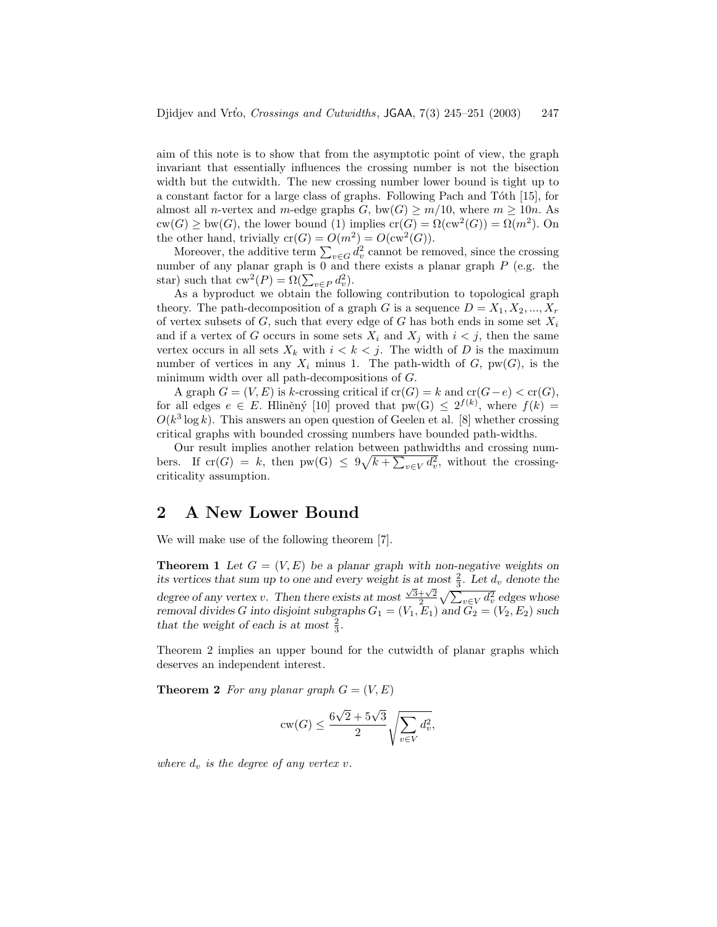aim of this note is to show that from the asymptotic point of view, the graph invariant that essentially influences the crossing number is not the bisection width but the cutwidth. The new crossing number lower bound is tight up to a constant factor for a large class of graphs. Following Pach and Tóth [15], for almost all n-vertex and m-edge graphs G, bw(G)  $\geq m/10$ , where  $m \geq 10n$ . As  $cw(G) \geq bw(G)$ , the lower bound (1) implies  $cr(G) = \Omega(cw^2(G)) = \Omega(m^2)$ . On the other hand, trivially  $cr(G) = O(m^2) = O(cw^2(G)).$ 

Moreover, the additive term  $\sum_{v \in G} d_v^2$  cannot be removed, since the crossing number of any planar graph is  $\overline{0}$  and there exists a planar graph P (e.g. the star) such that  $cw^2(P) = \Omega(\sum_{v \in P} d_v^2)$ .

As a byproduct we obtain the following contribution to topological graph theory. The path-decomposition of a graph G is a sequence  $D = X_1, X_2, ..., X_r$ of vertex subsets of  $G$ , such that every edge of  $G$  has both ends in some set  $X_i$ and if a vertex of G occurs in some sets  $X_i$  and  $X_j$  with  $i < j$ , then the same vertex occurs in all sets  $X_k$  with  $i < k < j$ . The width of D is the maximum number of vertices in any  $X_i$  minus 1. The path-width of  $G$ ,  $pw(G)$ , is the minimum width over all path-decompositions of G.

A graph  $G = (V, E)$  is k-crossing critical if  $cr(G) = k$  and  $cr(G - e) < cr(G)$ , for all edges  $e \in E$ . Hliněný [10] proved that  $pw(G) \leq 2^{f(k)}$ , where  $f(k) =$  $O(k^3 \log k)$ . This answers an open question of Geelen et al. [8] whether crossing critical graphs with bounded crossing numbers have bounded path-widths.

Our result implies another relation between pathwidths and crossing numbers. If  $cr(G) = k$ , then  $pw(G) \leq 9\sqrt{k + \sum_{v \in V} d_v^2}$ , without the crossingcriticality assumption.

# **2 A New Lower Bound**

We will make use of the following theorem [7].

**Theorem 1** Let  $G = (V, E)$  be a planar graph with non-negative weights on *its vertices that sum up to one and every weight is at most*  $\frac{2}{3}$ *. Let*  $d_v$  *denote the* degree of any vertex v. Then there exists at most  $\frac{\sqrt{3}+\sqrt{2}}{\sqrt{2}}\sqrt{\sum_{v\in V}d_v^2}$  edges whose *removal divides* G into disjoint subgraphs  $G_1 = (V_1, E_1)$  and  $G_2 = (V_2, E_2)$  such that the weight of each is at most  $\frac{2}{3}$ .

Theorem 2 implies an upper bound for the cutwidth of planar graphs which deserves an independent interest.

**Theorem 2** For any planar graph  $G = (V, E)$ 

$$
cw(G) \le \frac{6\sqrt{2} + 5\sqrt{3}}{2} \sqrt{\sum_{v \in V} d_v^2},
$$

*where*  $d_v$  *is the degree of any vertex v.*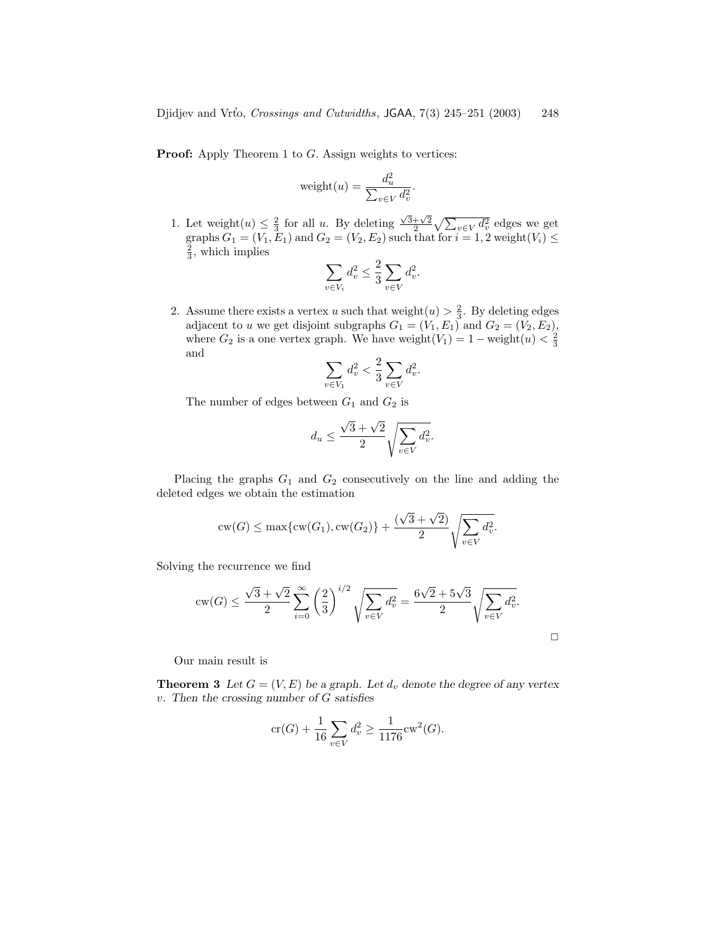**Proof:** Apply Theorem 1 to G. Assign weights to vertices:

$$
weight(u) = \frac{d_u^2}{\sum_{v \in V} d_v^2}.
$$

1. Let weight $(u) \leq \frac{2}{3}$  for all u. By deleting  $\frac{\sqrt{3}+\sqrt{2}}{2} \sqrt{\sum_{v\in V} d_v^2}$  edges we get graphs  $G_1 = (V_1, E_1)$  and  $G_2 = (V_2, E_2)$  such that for  $i = 1, 2$  weight $(V_i) \leq$  $\frac{2}{3}$ , which implies

$$
\sum_{v \in V_i} d_v^2 \le \frac{2}{3} \sum_{v \in V} d_v^2.
$$

2. Assume there exists a vertex u such that weight $(u) > \frac{2}{3}$ . By deleting edges adjacent to u we get disjoint subgraphs  $G_1 = (V_1, E_1)$  and  $G_2 = (V_2, E_2)$ , where  $G_2$  is a one vertex graph. We have weight $(V_1)=1-\text{weight}(u) < \frac{2}{3}$ and

$$
\sum_{v \in V_1} d_v^2 < \frac{2}{3} \sum_{v \in V} d_v^2.
$$

The number of edges between  $G_1$  and  $G_2$  is

$$
d_u \le \frac{\sqrt{3} + \sqrt{2}}{2} \sqrt{\sum_{v \in V} d_v^2}.
$$

Placing the graphs  $G_1$  and  $G_2$  consecutively on the line and adding the deleted edges we obtain the estimation

$$
c_{\mathbf{W}}(G) \le \max\{c_{\mathbf{W}}(G_1), c_{\mathbf{W}}(G_2)\} + \frac{(\sqrt{3} + \sqrt{2})}{2} \sqrt{\sum_{v \in V} d_v^2}.
$$

Solving the recurrence we find

$$
cw(G) \le \frac{\sqrt{3} + \sqrt{2}}{2} \sum_{i=0}^{\infty} \left(\frac{2}{3}\right)^{i/2} \sqrt{\sum_{v \in V} d_v^2} = \frac{6\sqrt{2} + 5\sqrt{3}}{2} \sqrt{\sum_{v \in V} d_v^2}.
$$

 $\Box$ 

Our main result is

**Theorem 3** Let  $G = (V, E)$  be a graph. Let  $d_v$  denote the degree of any vertex v*. Then the crossing number of* G *satisfies*

$$
\operatorname{cr}(G) + \frac{1}{16} \sum_{v \in V} d_v^2 \ge \frac{1}{1176} \operatorname{cw}^2(G).
$$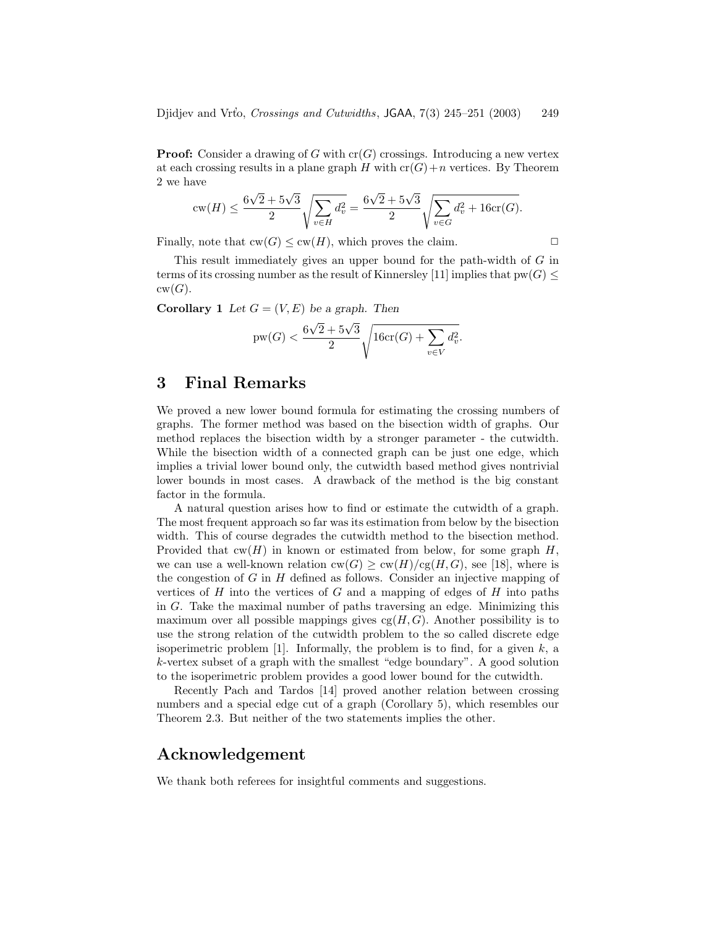**Proof:** Consider a drawing of G with  $cr(G)$  crossings. Introducing a new vertex at each crossing results in a plane graph  $H$  with  $cr(G)+n$  vertices. By Theorem 2 we have

$$
\text{cw}(H) \le \frac{6\sqrt{2} + 5\sqrt{3}}{2} \sqrt{\sum_{v \in H} d_v^2} = \frac{6\sqrt{2} + 5\sqrt{3}}{2} \sqrt{\sum_{v \in G} d_v^2 + 16\text{cr}(G)}.
$$

Finally, note that  $cw(G) \leq cw(H)$ , which proves the claim.  $\Box$ 

This result immediately gives an upper bound for the path-width of G in terms of its crossing number as the result of Kinnersley [11] implies that  $pw(G)$  <  $cw(G).$ 

**Corollary 1** *Let*  $G = (V, E)$  *be a graph. Then* 

$$
pw(G) < \frac{6\sqrt{2} + 5\sqrt{3}}{2} \sqrt{16cr(G) + \sum_{v \in V} d_v^2}.
$$

# **3 Final Remarks**

We proved a new lower bound formula for estimating the crossing numbers of graphs. The former method was based on the bisection width of graphs. Our method replaces the bisection width by a stronger parameter - the cutwidth. While the bisection width of a connected graph can be just one edge, which implies a trivial lower bound only, the cutwidth based method gives nontrivial lower bounds in most cases. A drawback of the method is the big constant factor in the formula.

A natural question arises how to find or estimate the cutwidth of a graph. The most frequent approach so far was its estimation from below by the bisection width. This of course degrades the cutwidth method to the bisection method. Provided that  $cw(H)$  in known or estimated from below, for some graph H, we can use a well-known relation  $\text{cw}(G) \geq \text{cw}(H)/\text{cg}(H, G)$ , see [18], where is the congestion of  $G$  in  $H$  defined as follows. Consider an injective mapping of vertices of  $H$  into the vertices of  $G$  and a mapping of edges of  $H$  into paths in  $G$ . Take the maximal number of paths traversing an edge. Minimizing this maximum over all possible mappings gives  $cg(H, G)$ . Another possibility is to use the strong relation of the cutwidth problem to the so called discrete edge isoperimetric problem  $[1]$ . Informally, the problem is to find, for a given k, a k-vertex subset of a graph with the smallest "edge boundary". A good solution to the isoperimetric problem provides a good lower bound for the cutwidth.

Recently Pach and Tardos [14] proved another relation between crossing numbers and a special edge cut of a graph (Corollary 5), which resembles our Theorem 2.3. But neither of the two statements implies the other.

#### **Acknowledgement**

We thank both referees for insightful comments and suggestions.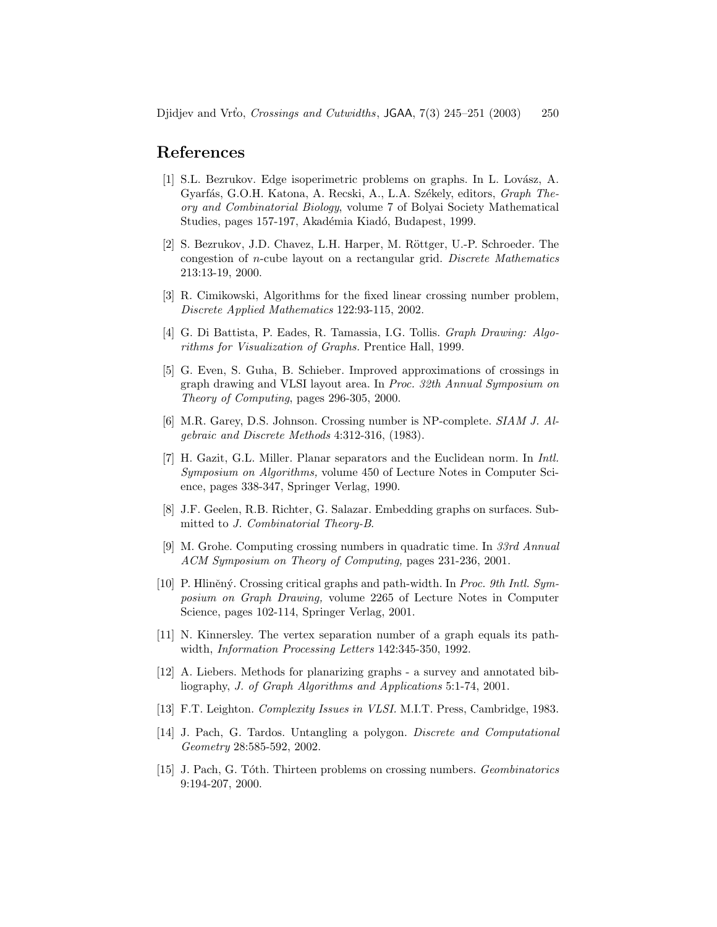# **References**

- [1] S.L. Bezrukov. Edge isoperimetric problems on graphs. In L. Lovász, A. Gyarfás, G.O.H. Katona, A. Recski, A., L.A. Székely, editors, *Graph Theory and Combinatorial Biology*, volume 7 of Bolyai Society Mathematical Studies, pages 157-197, Akadémia Kiadó, Budapest, 1999.
- [2] S. Bezrukov, J.D. Chavez, L.H. Harper, M. Röttger, U.-P. Schroeder. The congestion of n-cube layout on a rectangular grid. *Discrete Mathematics* 213:13-19, 2000.
- [3] R. Cimikowski, Algorithms for the fixed linear crossing number problem, *Discrete Applied Mathematics* 122:93-115, 2002.
- [4] G. Di Battista, P. Eades, R. Tamassia, I.G. Tollis. *Graph Drawing: Algorithms for Visualization of Graphs.* Prentice Hall, 1999.
- [5] G. Even, S. Guha, B. Schieber. Improved approximations of crossings in graph drawing and VLSI layout area. In *Proc. 32th Annual Symposium on Theory of Computing*, pages 296-305, 2000.
- [6] M.R. Garey, D.S. Johnson. Crossing number is NP-complete. *SIAM J. Algebraic and Discrete Methods* 4:312-316, (1983).
- [7] H. Gazit, G.L. Miller. Planar separators and the Euclidean norm. In *Intl. Symposium on Algorithms,* volume 450 of Lecture Notes in Computer Science, pages 338-347, Springer Verlag, 1990.
- [8] J.F. Geelen, R.B. Richter, G. Salazar. Embedding graphs on surfaces. Submitted to *J. Combinatorial Theory-B*.
- [9] M. Grohe. Computing crossing numbers in quadratic time. In *33rd Annual ACM Symposium on Theory of Computing,* pages 231-236, 2001.
- [10] P. Hliněný. Crossing critical graphs and path-width. In *Proc. 9th Intl. Symposium on Graph Drawing,* volume 2265 of Lecture Notes in Computer Science, pages 102-114, Springer Verlag, 2001.
- [11] N. Kinnersley. The vertex separation number of a graph equals its pathwidth, *Information Processing Letters* 142:345-350, 1992.
- [12] A. Liebers. Methods for planarizing graphs a survey and annotated bibliography, *J. of Graph Algorithms and Applications* 5:1-74, 2001.
- [13] F.T. Leighton. *Complexity Issues in VLSI.* M.I.T. Press, Cambridge, 1983.
- [14] J. Pach, G. Tardos. Untangling a polygon. *Discrete and Computational Geometry* 28:585-592, 2002.
- [15] J. Pach, G. T´oth. Thirteen problems on crossing numbers. *Geombinatorics* 9:194-207, 2000.